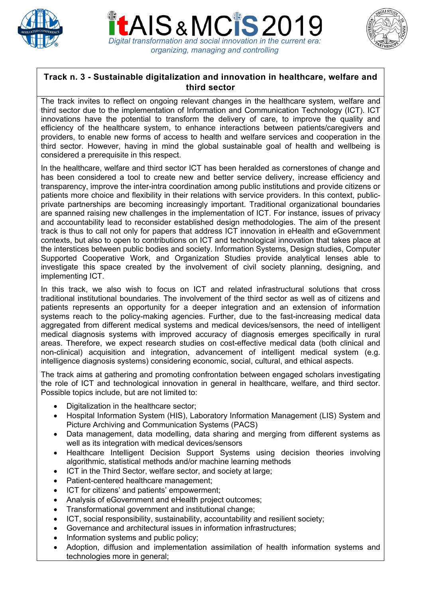





## **Track n. 3 - Sustainable digitalization and innovation in healthcare, welfare and third sector**

The track invites to reflect on ongoing relevant changes in the healthcare system, welfare and third sector due to the implementation of Information and Communication Technology (ICT). ICT innovations have the potential to transform the delivery of care, to improve the quality and efficiency of the healthcare system, to enhance interactions between patients/caregivers and providers, to enable new forms of access to health and welfare services and cooperation in the third sector. However, having in mind the global sustainable goal of health and wellbeing is considered a prerequisite in this respect.

In the healthcare, welfare and third sector ICT has been heralded as cornerstones of change and has been considered a tool to create new and better service delivery, increase efficiency and transparency, improve the inter-intra coordination among public institutions and provide citizens or patients more choice and flexibility in their relations with service providers. In this context, publicprivate partnerships are becoming increasingly important. Traditional organizational boundaries are spanned raising new challenges in the implementation of ICT. For instance, issues of privacy and accountability lead to reconsider established design methodologies. The aim of the present track is thus to call not only for papers that address ICT innovation in eHealth and eGovernment contexts, but also to open to contributions on ICT and technological innovation that takes place at the interstices between public bodies and society. Information Systems, Design studies, Computer Supported Cooperative Work, and Organization Studies provide analytical lenses able to investigate this space created by the involvement of civil society planning, designing, and implementing ICT.

In this track, we also wish to focus on ICT and related infrastructural solutions that cross traditional institutional boundaries. The involvement of the third sector as well as of citizens and patients represents an opportunity for a deeper integration and an extension of information systems reach to the policy-making agencies. Further, due to the fast-increasing medical data aggregated from different medical systems and medical devices/sensors, the need of intelligent medical diagnosis systems with improved accuracy of diagnosis emerges specifically in rural areas. Therefore, we expect research studies on cost-effective medical data (both clinical and non-clinical) acquisition and integration, advancement of intelligent medical system (e.g. intelligence diagnosis systems) considering economic, social, cultural, and ethical aspects.

The track aims at gathering and promoting confrontation between engaged scholars investigating the role of ICT and technological innovation in general in healthcare, welfare, and third sector. Possible topics include, but are not limited to:

- Digitalization in the healthcare sector;
- Hospital Information System (HIS), Laboratory Information Management (LIS) System and Picture Archiving and Communication Systems (PACS)
- Data management, data modelling, data sharing and merging from different systems as well as its integration with medical devices/sensors
- Healthcare Intelligent Decision Support Systems using decision theories involving algorithmic, statistical methods and/or machine learning methods
- ICT in the Third Sector, welfare sector, and society at large;
- Patient-centered healthcare management;
- ICT for citizens' and patients' empowerment;
- Analysis of eGovernment and eHealth project outcomes;
- Transformational government and institutional change;
- ICT, social responsibility, sustainability, accountability and resilient society;
- Governance and architectural issues in information infrastructures;
- Information systems and public policy;
- Adoption, diffusion and implementation assimilation of health information systems and technologies more in general;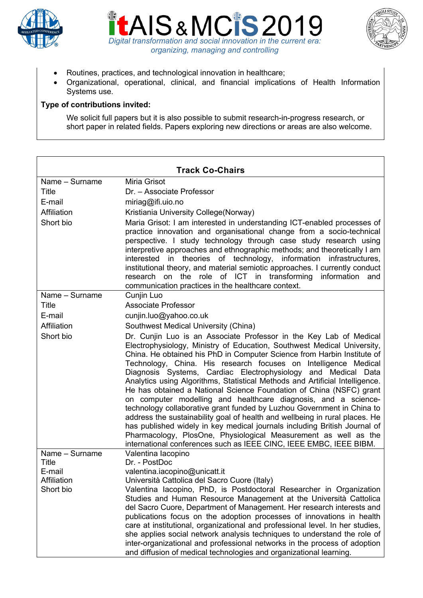





- Routines, practices, and technological innovation in healthcare;
- Organizational, operational, clinical, and financial implications of Health Information Systems use.

## **Type of contributions invited:**

We solicit full papers but it is also possible to submit research-in-progress research, or short paper in related fields. Papers exploring new directions or areas are also welcome.

| <b>Track Co-Chairs</b>            |                                                                                                                                                                                                                                                                                                                                                                                                                                                                                                                                                                                                                                                                                                                                                                                                                                                                                                                                                                      |
|-----------------------------------|----------------------------------------------------------------------------------------------------------------------------------------------------------------------------------------------------------------------------------------------------------------------------------------------------------------------------------------------------------------------------------------------------------------------------------------------------------------------------------------------------------------------------------------------------------------------------------------------------------------------------------------------------------------------------------------------------------------------------------------------------------------------------------------------------------------------------------------------------------------------------------------------------------------------------------------------------------------------|
| Name - Surname                    | Miria Grisot                                                                                                                                                                                                                                                                                                                                                                                                                                                                                                                                                                                                                                                                                                                                                                                                                                                                                                                                                         |
| Title                             | Dr. - Associate Professor                                                                                                                                                                                                                                                                                                                                                                                                                                                                                                                                                                                                                                                                                                                                                                                                                                                                                                                                            |
| E-mail                            | miriag@ifi.uio.no                                                                                                                                                                                                                                                                                                                                                                                                                                                                                                                                                                                                                                                                                                                                                                                                                                                                                                                                                    |
| Affiliation                       | Kristiania University College (Norway)                                                                                                                                                                                                                                                                                                                                                                                                                                                                                                                                                                                                                                                                                                                                                                                                                                                                                                                               |
| Short bio                         | Maria Grisot: I am interested in understanding ICT-enabled processes of<br>practice innovation and organisational change from a socio-technical<br>perspective. I study technology through case study research using<br>interpretive approaches and ethnographic methods; and theoretically I am<br>theories of technology, information infrastructures,<br>interested in<br>institutional theory, and material semiotic approaches. I currently conduct<br>research on the role of ICT in transforming information and<br>communication practices in the healthcare context.                                                                                                                                                                                                                                                                                                                                                                                        |
| Name - Surname                    | Cunjin Luo                                                                                                                                                                                                                                                                                                                                                                                                                                                                                                                                                                                                                                                                                                                                                                                                                                                                                                                                                           |
| <b>Title</b>                      | <b>Associate Professor</b>                                                                                                                                                                                                                                                                                                                                                                                                                                                                                                                                                                                                                                                                                                                                                                                                                                                                                                                                           |
| E-mail                            | cunjin.luo@yahoo.co.uk                                                                                                                                                                                                                                                                                                                                                                                                                                                                                                                                                                                                                                                                                                                                                                                                                                                                                                                                               |
| Affiliation                       | Southwest Medical University (China)                                                                                                                                                                                                                                                                                                                                                                                                                                                                                                                                                                                                                                                                                                                                                                                                                                                                                                                                 |
| Short bio                         | Dr. Cunjin Luo is an Associate Professor in the Key Lab of Medical<br>Electrophysiology, Ministry of Education, Southwest Medical University,<br>China. He obtained his PhD in Computer Science from Harbin Institute of<br>Technology, China. His research focuses on Intelligence Medical<br>Diagnosis Systems, Cardiac Electrophysiology and Medical Data<br>Analytics using Algorithms, Statistical Methods and Artificial Intelligence.<br>He has obtained a National Science Foundation of China (NSFC) grant<br>on computer modelling and healthcare diagnosis, and a science-<br>technology collaborative grant funded by Luzhou Government in China to<br>address the sustainability goal of health and wellbeing in rural places. He<br>has published widely in key medical journals including British Journal of<br>Pharmacology, PlosOne, Physiological Measurement as well as the<br>international conferences such as IEEE CINC, IEEE EMBC, IEEE BIBM. |
| Name - Surname<br>Title<br>E-mail | Valentina lacopino<br>Dr. - PostDoc<br>valentina.iacopino@unicatt.it                                                                                                                                                                                                                                                                                                                                                                                                                                                                                                                                                                                                                                                                                                                                                                                                                                                                                                 |
| Affiliation                       | Università Cattolica del Sacro Cuore (Italy)                                                                                                                                                                                                                                                                                                                                                                                                                                                                                                                                                                                                                                                                                                                                                                                                                                                                                                                         |
| Short bio                         | Valentina lacopino, PhD, is Postdoctoral Researcher in Organization<br>Studies and Human Resource Management at the Università Cattolica<br>del Sacro Cuore, Department of Management. Her research interests and<br>publications focus on the adoption processes of innovations in health<br>care at institutional, organizational and professional level. In her studies,<br>she applies social network analysis techniques to understand the role of<br>inter-organizational and professional networks in the process of adoption<br>and diffusion of medical technologies and organizational learning.                                                                                                                                                                                                                                                                                                                                                           |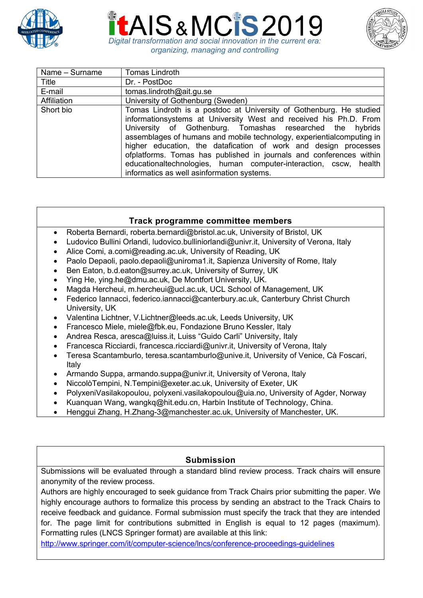





| Name - Surname | <b>Tomas Lindroth</b>                                                                                                                                                                                                                                                                                                                                                                                                                                                                                                                       |
|----------------|---------------------------------------------------------------------------------------------------------------------------------------------------------------------------------------------------------------------------------------------------------------------------------------------------------------------------------------------------------------------------------------------------------------------------------------------------------------------------------------------------------------------------------------------|
| Title          | Dr. - PostDoc                                                                                                                                                                                                                                                                                                                                                                                                                                                                                                                               |
| E-mail         | tomas.lindroth@ait.gu.se                                                                                                                                                                                                                                                                                                                                                                                                                                                                                                                    |
| Affiliation    | University of Gothenburg (Sweden)                                                                                                                                                                                                                                                                                                                                                                                                                                                                                                           |
| Short bio      | Tomas Lindroth is a postdoc at University of Gothenburg. He studied<br>informationsystems at University West and received his Ph.D. From<br>University of Gothenburg. Tomashas researched the hybrids<br>assemblages of humans and mobile technology, experientialcomputing in<br>higher education, the datafication of work and design processes<br>ofplatforms. Tomas has published in journals and conferences within<br>educationaltechnologies, human computer-interaction, cscw, health<br>informatics as well asinformation systems. |

## **Track programme committee members**

- Roberta Bernardi, roberta.bernardi@bristol.ac.uk, University of Bristol, UK
- Ludovico Bullini Orlandi, ludovico.bulliniorlandi@univr.it, University of Verona, Italy
- Alice Comi, a.comi@reading.ac.uk, University of Reading, UK
- Paolo Depaoli, paolo.depaoli@uniroma1.it, Sapienza University of Rome, Italy
- Ben Eaton, b.d.eaton@surrey.ac.uk, University of Surrey, UK
- Ying He, ying.he@dmu.ac.uk, De Montfort University, UK.
- Magda Hercheui, m.hercheui@ucl.ac.uk, UCL School of Management, UK
- Federico Iannacci, federico.iannacci@canterbury.ac.uk, Canterbury Christ Church University, UK
- Valentina Lichtner, V.Lichtner@leeds.ac.uk, Leeds University, UK
- Francesco Miele, miele@fbk.eu, Fondazione Bruno Kessler, Italy
- Andrea Resca, aresca@luiss.it, Luiss "Guido Carli" University, Italy
- Francesca Ricciardi, francesca.ricciardi@univr.it, University of Verona, Italy
- Teresa Scantamburlo, teresa.scantamburlo@unive.it, University of Venice, Cà Foscari, Italy
- Armando Suppa, armando.suppa@univr.it, University of Verona, Italy
- NiccolòTempini, N.Tempini@exeter.ac.uk, University of Exeter, UK
- PolyxeniVasilakopoulou, polyxeni.vasilakopoulou@uia.no, University of Agder, Norway
- Kuanquan Wang, wangkq@hit.edu.cn, Harbin Institute of Technology, China.
- Henggui Zhang, H.Zhang-3@manchester.ac.uk, University of Manchester, UK.

## **Submission**

Submissions will be evaluated through a standard blind review process. Track chairs will ensure anonymity of the review process.

Authors are highly encouraged to seek guidance from Track Chairs prior submitting the paper. We highly encourage authors to formalize this process by sending an abstract to the Track Chairs to receive feedback and guidance. Formal submission must specify the track that they are intended for. The page limit for contributions submitted in English is equal to 12 pages (maximum). Formatting rules (LNCS Springer format) are available at this link:

http://www.springer.com/it/computer-science/lncs/conference-proceedings-guidelines